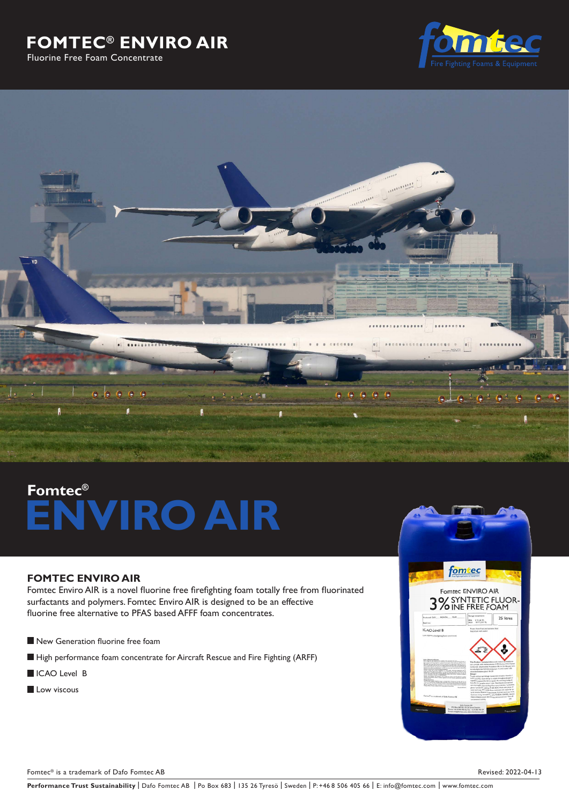### **FOMTEC® ENVIRO AIR** Fluorine Free Foam Concentrate





# **Fomtec® ENVIRO AIR**

#### **FOMTEC ENVIRO AIR**

Fomtec Enviro AIR is a novel fluorine free firefighting foam totally free from fluorinated surfactants and polymers. Fomtec Enviro AIR is designed to be an effective fluorine free alternative to PFAS based AFFF foam concentrates.

- New Generation fluorine free foam
- High performance foam concentrate for Aircraft Rescue and Fire Fighting (ARFF)
- ICAO Level B
- **Low viscous**



Fomtec® is a trademark of Dafo Fomtec AB Revised: 2022-04-13

Performance Trust Sustainability | Dafo Fomtec AB | Po Box 683 | 135 26 Tyresö | Sweden | P: +46 8 506 405 66 | E: info@fomtec.com | www.fomtec.com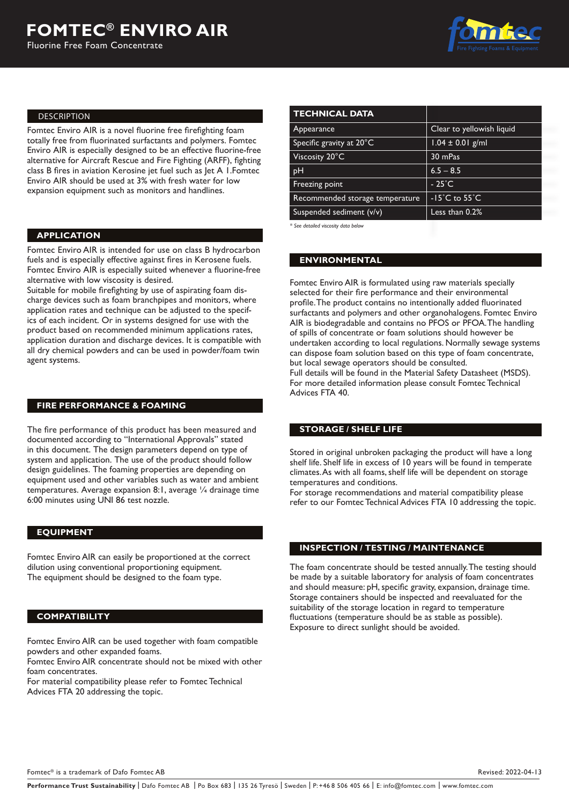

#### DESCRIPTION

Fomtec Enviro AIR is a novel fluorine free firefighting foam totally free from fluorinated surfactants and polymers. Fomtec Enviro AIR is especially designed to be an effective fluorine-free alternative for Aircraft Rescue and Fire Fighting (ARFF), fighting class B fires in aviation Kerosine jet fuel such as Jet A 1.Fomtec Enviro AIR should be used at 3% with fresh water for low expansion equipment such as monitors and handlines.

#### **APPLICATION**

Fomtec Enviro AIR is intended for use on class B hydrocarbon fuels and is especially effective against fires in Kerosene fuels. Fomtec Enviro AIR is especially suited whenever a fluorine-free alternative with low viscosity is desired.

Suitable for mobile firefighting by use of aspirating foam discharge devices such as foam branchpipes and monitors, where application rates and technique can be adjusted to the specifics of each incident. Or in systems designed for use with the product based on recommended minimum applications rates, application duration and discharge devices. It is compatible with all dry chemical powders and can be used in powder/foam twin agent systems.

#### **FIRE PERFORMANCE & FOAMING**

The fire performance of this product has been measured and documented according to "International Approvals" stated in this document. The design parameters depend on type of system and application. The use of the product should follow design guidelines. The foaming properties are depending on equipment used and other variables such as water and ambient temperatures. Average expansion 8:1, average ¼ drainage time 6:00 minutes using UNI 86 test nozzle.

#### **EQUIPMENT**

Fomtec Enviro AIR can easily be proportioned at the correct dilution using conventional proportioning equipment. The equipment should be designed to the foam type.

#### **COMPATIBILITY**

Fomtec Enviro AIR can be used together with foam compatible powders and other expanded foams.

Fomtec Enviro AIR concentrate should not be mixed with other foam concentrates.

For material compatibility please refer to Fomtec Technical Advices FTA 20 addressing the topic.

| <b>TECHNICAL DATA</b>           |                                   |
|---------------------------------|-----------------------------------|
| Appearance                      | Clear to yellowish liquid         |
| Specific gravity at 20°C        | $1.04 \pm 0.01$ g/ml              |
| Viscosity 20°C                  | 30 mPas                           |
| рH                              | $6.5 - 8.5$                       |
| Freezing point                  | $-25^{\circ}$ C                   |
| Recommended storage temperature | $-15^{\circ}$ C to $55^{\circ}$ C |
| Suspended sediment (v/v)        | Less than 0.2%                    |

*\* See detailed viscosity data below*

#### **ENVIRONMENTAL**

Fomtec Enviro AIR is formulated using raw materials specially selected for their fire performance and their environmental profile. The product contains no intentionally added fluorinated surfactants and polymers and other organohalogens. Fomtec Enviro AIR is biodegradable and contains no PFOS or PFOA. The handling of spills of concentrate or foam solutions should however be undertaken according to local regulations. Normally sewage systems can dispose foam solution based on this type of foam concentrate, but local sewage operators should be consulted. Full details will be found in the Material Safety Datasheet (MSDS).

For more detailed information please consult Fomtec Technical Advices FTA 40.

#### **STORAGE / SHELF LIFE**

Stored in original unbroken packaging the product will have a long shelf life. Shelf life in excess of 10 years will be found in temperate climates. As with all foams, shelf life will be dependent on storage temperatures and conditions.

For storage recommendations and material compatibility please refer to our Fomtec Technical Advices FTA 10 addressing the topic.

#### **INSPECTION / TESTING / MAINTENANCE**

The foam concentrate should be tested annually. The testing should be made by a suitable laboratory for analysis of foam concentrates and should measure: pH, specific gravity, expansion, drainage time. Storage containers should be inspected and reevaluated for the suitability of the storage location in regard to temperature fluctuations (temperature should be as stable as possible). Exposure to direct sunlight should be avoided.

Fomtec® is a trademark of Dafo Fomtec AB Revised: 2022-04-13